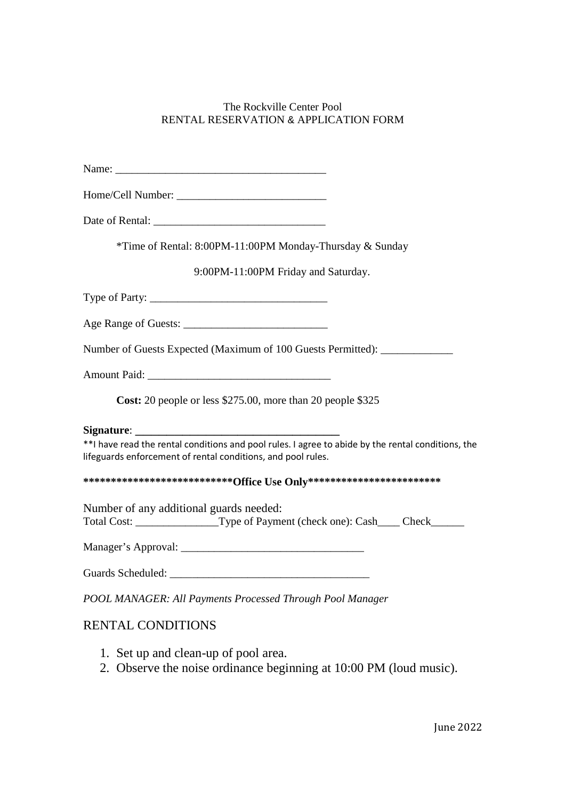## The Rockville Center Pool RENTAL RESERVATION & APPLICATION FORM

| *Time of Rental: 8:00PM-11:00PM Monday-Thursday & Sunday                                                                                                           |
|--------------------------------------------------------------------------------------------------------------------------------------------------------------------|
| 9:00PM-11:00PM Friday and Saturday.                                                                                                                                |
|                                                                                                                                                                    |
|                                                                                                                                                                    |
| Number of Guests Expected (Maximum of 100 Guests Permitted): ____________                                                                                          |
|                                                                                                                                                                    |
| Cost: 20 people or less \$275.00, more than 20 people \$325                                                                                                        |
|                                                                                                                                                                    |
| **I have read the rental conditions and pool rules. I agree to abide by the rental conditions, the<br>lifeguards enforcement of rental conditions, and pool rules. |
| *****************************Office Use Only***********************************                                                                                    |
| Number of any additional guards needed:<br>Total Cost: __________________Type of Payment (check one): Cash____ Check______                                         |
|                                                                                                                                                                    |
|                                                                                                                                                                    |
| POOL MANAGER: All Payments Processed Through Pool Manager                                                                                                          |
| <b>RENTAL CONDITIONS</b>                                                                                                                                           |

- 1. Set up and clean-up of pool area.
- 2. Observe the noise ordinance beginning at 10:00 PM (loud music).